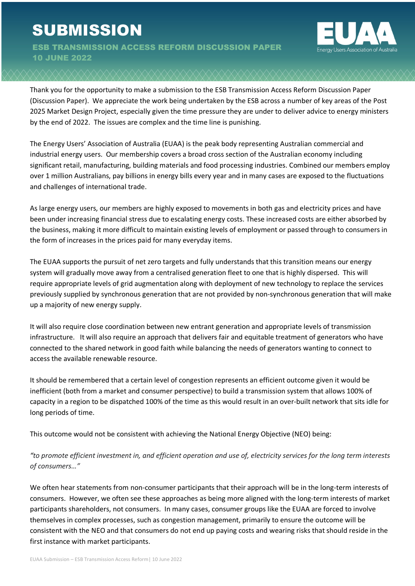# **SUBMISSION**

ESB TRANSMISSION ACCESS REFORM DISCUSSION PAPER 10 JUNE 2022



Thank you for the opportunity to make a submission to the ESB Transmission Access Reform Discussion Paper (Discussion Paper). We appreciate the work being undertaken by the ESB across a number of key areas of the Post 2025 Market Design Project, especially given the time pressure they are under to deliver advice to energy ministers by the end of 2022. The issues are complex and the time line is punishing.

The Energy Users' Association of Australia (EUAA) is the peak body representing Australian commercial and industrial energy users. Our membership covers a broad cross section of the Australian economy including significant retail, manufacturing, building materials and food processing industries. Combined our members employ over 1 million Australians, pay billions in energy bills every year and in many cases are exposed to the fluctuations and challenges of international trade.

As large energy users, our members are highly exposed to movements in both gas and electricity prices and have been under increasing financial stress due to escalating energy costs. These increased costs are either absorbed by the business, making it more difficult to maintain existing levels of employment or passed through to consumers in the form of increases in the prices paid for many everyday items.

The EUAA supports the pursuit of net zero targets and fully understands that this transition means our energy system will gradually move away from a centralised generation fleet to one that is highly dispersed. This will require appropriate levels of grid augmentation along with deployment of new technology to replace the services previously supplied by synchronous generation that are not provided by non-synchronous generation that will make up a majority of new energy supply.

It will also require close coordination between new entrant generation and appropriate levels of transmission infrastructure. It will also require an approach that delivers fair and equitable treatment of generators who have connected to the shared network in good faith while balancing the needs of generators wanting to connect to access the available renewable resource.

It should be remembered that a certain level of congestion represents an efficient outcome given it would be inefficient (both from a market and consumer perspective) to build a transmission system that allows 100% of capacity in a region to be dispatched 100% of the time as this would result in an over-built network that sits idle for long periods of time.

This outcome would not be consistent with achieving the National Energy Objective (NEO) being:

*"to promote efficient investment in, and efficient operation and use of, electricity services for the long term interests of consumers…"*

We often hear statements from non-consumer participants that their approach will be in the long-term interests of consumers. However, we often see these approaches as being more aligned with the long-term interests of market participants shareholders, not consumers. In many cases, consumer groups like the EUAA are forced to involve themselves in complex processes, such as congestion management, primarily to ensure the outcome will be consistent with the NEO and that consumers do not end up paying costs and wearing risks that should reside in the first instance with market participants.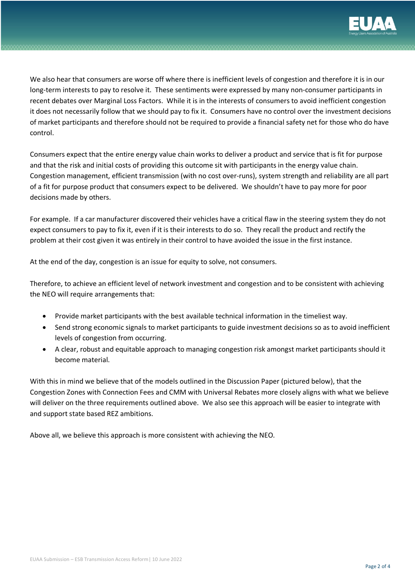

We also hear that consumers are worse off where there is inefficient levels of congestion and therefore it is in our long-term interests to pay to resolve it. These sentiments were expressed by many non-consumer participants in recent debates over Marginal Loss Factors. While it is in the interests of consumers to avoid inefficient congestion it does not necessarily follow that we should pay to fix it. Consumers have no control over the investment decisions of market participants and therefore should not be required to provide a financial safety net for those who do have control.

Consumers expect that the entire energy value chain works to deliver a product and service that is fit for purpose and that the risk and initial costs of providing this outcome sit with participants in the energy value chain. Congestion management, efficient transmission (with no cost over-runs), system strength and reliability are all part of a fit for purpose product that consumers expect to be delivered. We shouldn't have to pay more for poor decisions made by others.

For example. If a car manufacturer discovered their vehicles have a critical flaw in the steering system they do not expect consumers to pay to fix it, even if it is their interests to do so. They recall the product and rectify the problem at their cost given it was entirely in their control to have avoided the issue in the first instance.

At the end of the day, congestion is an issue for equity to solve, not consumers.

Therefore, to achieve an efficient level of network investment and congestion and to be consistent with achieving the NEO will require arrangements that:

- Provide market participants with the best available technical information in the timeliest way.
- Send strong economic signals to market participants to guide investment decisions so as to avoid inefficient levels of congestion from occurring.
- A clear, robust and equitable approach to managing congestion risk amongst market participants should it become material.

With this in mind we believe that of the models outlined in the Discussion Paper (pictured below), that the Congestion Zones with Connection Fees and CMM with Universal Rebates more closely aligns with what we believe will deliver on the three requirements outlined above. We also see this approach will be easier to integrate with and support state based REZ ambitions.

Above all, we believe this approach is more consistent with achieving the NEO.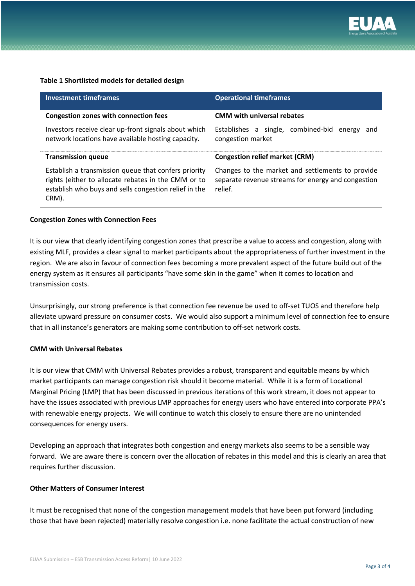

#### **Table 1 Shortlisted models for detailed design**

| <b>Investment timeframes</b>                                                                               | <b>Operational timeframes</b>                                            |
|------------------------------------------------------------------------------------------------------------|--------------------------------------------------------------------------|
| <b>Congestion zones with connection fees</b>                                                               | <b>CMM with universal rebates</b>                                        |
| Investors receive clear up-front signals about which<br>network locations have available hosting capacity. | Establishes a single, combined-bid<br>energy<br>and<br>congestion market |
|                                                                                                            |                                                                          |
| <b>Transmission queue</b>                                                                                  | <b>Congestion relief market (CRM)</b>                                    |

#### **Congestion Zones with Connection Fees**

It is our view that clearly identifying congestion zones that prescribe a value to access and congestion, along with existing MLF, provides a clear signal to market participants about the appropriateness of further investment in the existing ther, provides a clear signal to market participants about the appropriateness or further investment in the<br>region. We are also in favour of connection fees becoming a more prevalent aspect of the future build out region. We are also in lavour or confidencial rees becoming a more prevalent aspect or the rature bund out or the<br>energy system as it ensures all participants "have some skin in the game" when it comes to location and transmission costs. system as it ensures an participants thave some skin in the game twitch it comes to location and<br>... eremoving opportunities for subsequent connecting generators to "free-ride" on REZ transmission relations to "free-ride" on REZ transmission relations to "free-ride" on REZ transmission relations to "free-ride" on REZ tran

Unsurprisingly, our strong preference is that connection fee revenue be used to off-set TUOS and therefore help alleviate upward pressure on consumer costs. We would also support a minimum level of connection fee to ensure that in all instance's generators are making some contribution to off-set network costs. investments with the matrix  $\mathbf{r}$  and  $\mathbf{r}$  and  $\mathbf{r}$  and  $\mathbf{r}$  $\mu$  prisingly, our strong preference is that connection fee revenue be used to on-set TOOS and therefore help

### **CMM with Universal Rebates <b>EXALANCE TO balance the duration of access** rights, which provide revenue certainty for

It is our view that CMM with Universal Rebates provides a robust, transparent and equitable means by which market participants can manage congestion risk should it become material. While it is a form of Locational control term of the NEM's version of open access is incompatible with REZS because it is incompatible with REZS bec Marginal Pricing (LMP) that has been discussed in previous iterations of this work stream, it does not appear to co-ordinated system for co-ordinated system of co-ordinated system of co-ordinated system of co-ordinated sys have the issues associated with previous LMP approaches for energy users who have entered into corporate PPA's with renewable energy projects. We will continue to watch this closely to ensure there are no unintended consequences for energy users. The purpose of this consultation paper is to see the four model options, which will guide options, which will guide  $\mathcal{L}$ 

Developing an approach that integrates both congestion and energy markets also seems to be a sensible way beveloping an approach that integrates both congestion and energy markets also seems to be a sensible way<br>forward. We are aware there is concern over the allocation of rebates in this model and this is clearly an area that requires further discussion. ward. We are aware there is concern over the anotation or rebates in this model and this is clearly an area tha<br>The first one of the investment models and one of the operations set out in this paper. As paper of this work, we will consider the operations will consider the operation of this work, we will consider the operation of this work, we will consider the ope

## **Other Matters of Consumer Interest** and development, in the isotropy substantial differential in the isotropy substantial of  $\alpha$

It must be recognised that none of the congestion management models that have been put forward (including those that have been rejected) materially resolve congestion i.e. none facilitate the actual construction of new